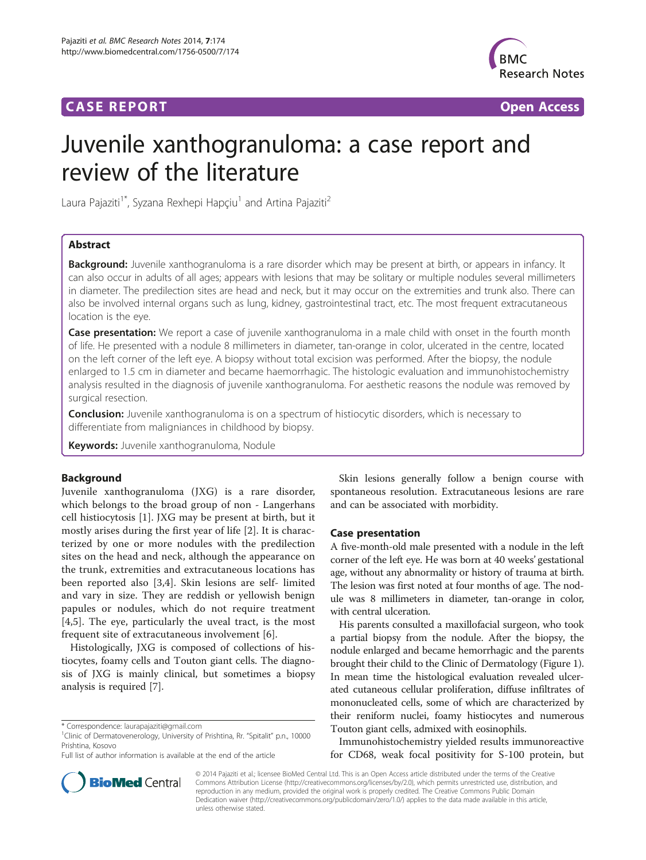## **CASE REPORT CASE REPORT CASE REPORT**



# Juvenile xanthogranuloma: a case report and review of the literature

Laura Pajaziti<sup>1\*</sup>, Syzana Rexhepi Hapçiu<sup>1</sup> and Artina Pajaziti<sup>2</sup>

## Abstract

Background: Juvenile xanthogranuloma is a rare disorder which may be present at birth, or appears in infancy. It can also occur in adults of all ages; appears with lesions that may be solitary or multiple nodules several millimeters in diameter. The predilection sites are head and neck, but it may occur on the extremities and trunk also. There can also be involved internal organs such as lung, kidney, gastrointestinal tract, etc. The most frequent extracutaneous location is the eye.

Case presentation: We report a case of juvenile xanthogranuloma in a male child with onset in the fourth month of life. He presented with a nodule 8 millimeters in diameter, tan-orange in color, ulcerated in the centre, located on the left corner of the left eye. A biopsy without total excision was performed. After the biopsy, the nodule enlarged to 1.5 cm in diameter and became haemorrhagic. The histologic evaluation and immunohistochemistry analysis resulted in the diagnosis of juvenile xanthogranuloma. For aesthetic reasons the nodule was removed by surgical resection.

**Conclusion:** Juvenile xanthogranuloma is on a spectrum of histiocytic disorders, which is necessary to differentiate from maligniances in childhood by biopsy.

Keywords: Juvenile xanthogranuloma, Nodule

## Background

Juvenile xanthogranuloma (JXG) is a rare disorder, which belongs to the broad group of non - Langerhans cell histiocytosis [\[1](#page-2-0)]. JXG may be present at birth, but it mostly arises during the first year of life [[2](#page-2-0)]. It is characterized by one or more nodules with the predilection sites on the head and neck, although the appearance on the trunk, extremities and extracutaneous locations has been reported also [[3,4\]](#page-2-0). Skin lesions are self- limited and vary in size. They are reddish or yellowish benign papules or nodules, which do not require treatment [[4,5](#page-2-0)]. The eye, particularly the uveal tract, is the most frequent site of extracutaneous involvement [[6\]](#page-2-0).

Histologically, JXG is composed of collections of histiocytes, foamy cells and Touton giant cells. The diagnosis of JXG is mainly clinical, but sometimes a biopsy analysis is required [[7\]](#page-2-0).

Skin lesions generally follow a benign course with spontaneous resolution. Extracutaneous lesions are rare and can be associated with morbidity.

## Case presentation

A five-month-old male presented with a nodule in the left corner of the left eye. He was born at 40 weeks' gestational age, without any abnormality or history of trauma at birth. The lesion was first noted at four months of age. The nodule was 8 millimeters in diameter, tan-orange in color, with central ulceration.

His parents consulted a maxillofacial surgeon, who took a partial biopsy from the nodule. After the biopsy, the nodule enlarged and became hemorrhagic and the parents brought their child to the Clinic of Dermatology (Figure [1](#page-1-0)). In mean time the histological evaluation revealed ulcerated cutaneous cellular proliferation, diffuse infiltrates of mononucleated cells, some of which are characterized by their reniform nuclei, foamy histiocytes and numerous Touton giant cells, admixed with eosinophils.

Immunohistochemistry yielded results immunoreactive for CD68, weak focal positivity for S-100 protein, but

© 2014 Pajaziti et al.; licensee BioMed Central Ltd. This is an Open Access article distributed under the terms of the Creative Commons Attribution License [\(http://creativecommons.org/licenses/by/2.0\)](http://creativecommons.org/licenses/by/2.0), which permits unrestricted use, distribution, and reproduction in any medium, provided the original work is properly credited. The Creative Commons Public Domain Dedication waiver [\(http://creativecommons.org/publicdomain/zero/1.0/](http://creativecommons.org/publicdomain/zero/1.0/)) applies to the data made available in this article, unless otherwise stated.



<sup>\*</sup> Correspondence: [laurapajaziti@gmail.com](mailto:laurapajaziti@gmail.com) <sup>1</sup>

<sup>&</sup>lt;sup>1</sup>Clinic of Dermatovenerology, University of Prishtina, Rr. "Spitalit" p.n., 10000 Prishtina, Kosovo

Full list of author information is available at the end of the article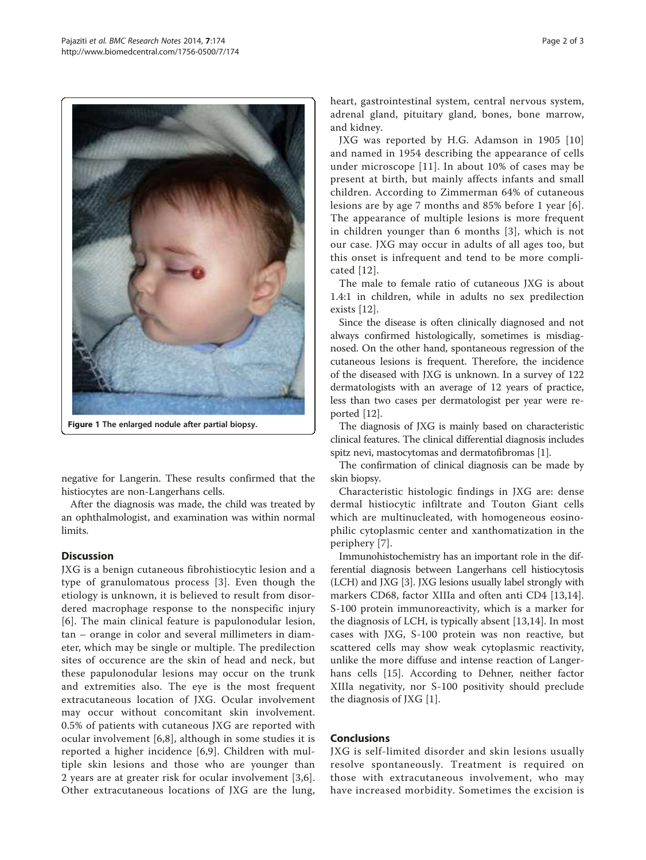<span id="page-1-0"></span>

Figure 1 The enlarged nodule after partial biopsy.

negative for Langerin. These results confirmed that the histiocytes are non-Langerhans cells.

After the diagnosis was made, the child was treated by an ophthalmologist, and examination was within normal limits.

## **Discussion**

JXG is a benign cutaneous fibrohistiocytic lesion and a type of granulomatous process [\[3](#page-2-0)]. Even though the etiology is unknown, it is believed to result from disordered macrophage response to the nonspecific injury [[6](#page-2-0)]. The main clinical feature is papulonodular lesion, tan – orange in color and several millimeters in diameter, which may be single or multiple. The predilection sites of occurence are the skin of head and neck, but these papulonodular lesions may occur on the trunk and extremities also. The eye is the most frequent extracutaneous location of JXG. Ocular involvement may occur without concomitant skin involvement. 0.5% of patients with cutaneous JXG are reported with ocular involvement [[6,8](#page-2-0)], although in some studies it is reported a higher incidence [\[6](#page-2-0),[9\]](#page-2-0). Children with multiple skin lesions and those who are younger than 2 years are at greater risk for ocular involvement [[3,6](#page-2-0)]. Other extracutaneous locations of JXG are the lung, heart, gastrointestinal system, central nervous system, adrenal gland, pituitary gland, bones, bone marrow, and kidney.

JXG was reported by H.G. Adamson in 1905 [[10](#page-2-0)] and named in 1954 describing the appearance of cells under microscope [[11\]](#page-2-0). In about 10% of cases may be present at birth, but mainly affects infants and small children. According to Zimmerman 64% of cutaneous lesions are by age 7 months and 85% before 1 year [[6\]](#page-2-0). The appearance of multiple lesions is more frequent in children younger than 6 months [[3\]](#page-2-0), which is not our case. JXG may occur in adults of all ages too, but this onset is infrequent and tend to be more complicated [[12\]](#page-2-0).

The male to female ratio of cutaneous JXG is about 1.4:1 in children, while in adults no sex predilection exists [[12\]](#page-2-0).

Since the disease is often clinically diagnosed and not always confirmed histologically, sometimes is misdiagnosed. On the other hand, spontaneous regression of the cutaneous lesions is frequent. Therefore, the incidence of the diseased with JXG is unknown. In a survey of 122 dermatologists with an average of 12 years of practice, less than two cases per dermatologist per year were reported [[12](#page-2-0)].

The diagnosis of JXG is mainly based on characteristic clinical features. The clinical differential diagnosis includes spitz nevi, mastocytomas and dermatofibromas [\[1](#page-2-0)].

The confirmation of clinical diagnosis can be made by skin biopsy.

Characteristic histologic findings in JXG are: dense dermal histiocytic infiltrate and Touton Giant cells which are multinucleated, with homogeneous eosinophilic cytoplasmic center and xanthomatization in the periphery [\[7](#page-2-0)].

Immunohistochemistry has an important role in the differential diagnosis between Langerhans cell histiocytosis (LCH) and JXG [\[3\]](#page-2-0). JXG lesions usually label strongly with markers CD68, factor XIIIa and often anti CD4 [[13,14](#page-2-0)]. S-100 protein immunoreactivity, which is a marker for the diagnosis of LCH, is typically absent [\[13,14](#page-2-0)]. In most cases with JXG, S-100 protein was non reactive, but scattered cells may show weak cytoplasmic reactivity, unlike the more diffuse and intense reaction of Langerhans cells [[15\]](#page-2-0). According to Dehner, neither factor XIIIa negativity, nor S-100 positivity should preclude the diagnosis of JXG [[1\]](#page-2-0).

## Conclusions

JXG is self-limited disorder and skin lesions usually resolve spontaneously. Treatment is required on those with extracutaneous involvement, who may have increased morbidity. Sometimes the excision is